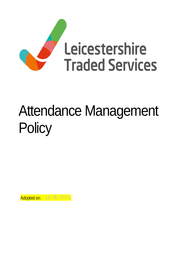

# Attendance Management **Policy**

Adopted on: 13 - 05 - 2021.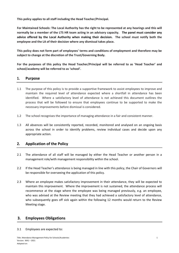**This policy applies to all staff including the Head Teacher/Principal.**

**For Maintained Schools: The Local Authority has the right to be represented at any hearings and this will normally be a member of the LTS HR team acting in an advisory capacity. The panel must consider any advice offered by the Local Authority when making their decision. The school must notify both the employee and the LA of their decision where any dismissal takes place.** 

**This policy does not form part of employees' terms and conditions of employment and therefore may be subject to change at the discretion of the Trust/Governing Body.** 

**For the purposes of this policy the Head Teacher/Principal will be referred to as 'Head Teacher' and school/academy will be referred to as 'school'.**

#### **1. Purpose**

- 1.1 The purpose of this policy is to provide a supportive framework to assist employees to improve and maintain the required level of attendance expected where a shortfall in attendance has been identified. Where a satisfactory level of attendance is not achieved this document outlines the process that will be followed to ensure that employees continue to be supported to make the necessary improvements before dismissal is considered.
- 1.2 The school recognises the importance of managing attendance in a fair and consistent manner.
- 1.3 All absences will be consistently reported, recorded, monitored and analysed on an ongoing basis across the school in order to identify problems, review individual cases and decide upon any appropriate action.

### **2. Application of the Policy**

- 2.1 The attendance of all staff will be managed by either the Head Teacher or another person in a management role/with management responsibility within the school.
- 2.2 If the Head Teacher's attendance is being managed in line with this policy, the Chair of Governors will be responsible for overseeing the application of this policy.
- 2.3 Where an employee makes satisfactory improvement in their attendance, they will be expected to maintain this improvement. Where the improvement is not sustained, the attendance process will recommence at the stage where the employee was being managed previously, e.g. an employee, who was advised at the Review meeting that they had achieved a satisfactory level of attendance, who subsequently goes off sick again within the following 12 months would return to the Review Meeting stage.

#### **3. Employees Obligations**

3.1 Employees are expected to: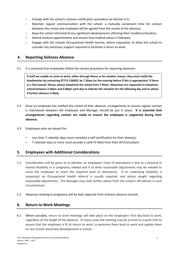- **Comply with the school's sickness notification procedure (at Section 4.1),**
- Maintain regular communication with the school: a mutually convenient time for contact between the school and employee will be agreed from the outset of the absence,
- Keep the school informed of any significant developments affecting their condition/situation,
- Attend medical appointments and ensure that medical advice is followed,
- **Engage with the schools Occupational Health Service, where requested, to allow the school to** consider any necessary support required to facilitate a return to work.

## **4. Reporting Sickness Absence**

4.1 It is essential that employees follow the correct procedure for reporting absences:

**If staff are unable to come to work, either through illness or for another reason, they must notify the headteacher by contacting 07713 156829, by 7.20am (or the evening before if this is appropriate). If there is a 'last minute' illness, please telephone the school from 7.45am. Absentees are requested to telephone school between 2.45pm and 3.00pm each day to indicate the situation for the following day and to advise if further absence is likely.** 

- 4.2 Once an employee has notified the school of their absence, arrangements to ensure regular contact is maintained between the employee and Manager should be put in place. **It is essential that arrangements regarding contact are made to ensure the employee is supported during their absence.**
- 4.3 Employees who are absent for:
	- Less than 7 calendar days must complete a self-certification for their absence,
	- 7 calendar days or more must provide a valid Fit Note from their GP/Consultant.

### **5. Employees with Additional Considerations**

- 5.1 Consideration will be given as to whether an employee's level of attendance is due to a physical or mental disability or is pregnancy related and if so what reasonable adjustments may be needed to assist the employee to reach the required level of attendance. If an underlying disability is suspected, an Occupational Health referral is usually required, and advice sought regarding reasonable adjustments. The Manager may seek further advice from the school's HR Adviser in such circumstances.
- 5.2 Absences relating to pregnancy will be kept separate from sickness absence records.

### **6. Return to Work Meetings**

6.1 Where possible, return to work meetings will take place on the employee's first day back to work, regardless of the length of the absence. In many cases the meeting may be as brief as a quick chat to ensure that the employee is fit to return to work, to welcome them back to work and update them on any school news/new developments in school.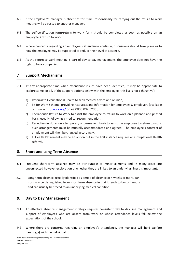- 6.2 If the employee's manager is absent at this time, responsibility for carrying out the return to work meeting will be passed to another manager.
- 6.3 The self-certification form/return to work form should be completed as soon as possible on an employee's return to work.
- 6.4 Where concerns regarding an employee's attendance continue, discussions should take place as to how the employee may be supported to reduce their level of absence.
- 6.5 As the return to work meeting is part of day to day management, the employee does not have the right to be accompanied.

### **7. Support Mechanisms**

- 7.1 At any appropriate time when attendance issues have been identified, it may be appropriate to explore some, or all, of the support options below with the employee (this list is not exhaustive):
	- a) Referral to Occupational Health to seek medical advice and opinion,
	- b) Fit for Work Scheme, providing resources and information for employees & employers (available on: www[.fitforwork.org/](https://fitforwork.org/) or via 0800 032 6235),
	- c) Therapeutic Return to Work to assist the employee to return to work on a planned and phased basis, usually following a medical recommendation,
	- d) Reduction in Hours on a temporary or permanent basis to assist the employee to return to work. Such arrangements must be mutually accommodated and agreed. The employee's contract of employment will then be changed accordingly,
	- e) Ill Health Retirement may be an option but in the first instance requires an Occupational Health referral.

### **8. Short and Long-Term Absence**

- 8.1 Frequent short-term absence may be attributable to minor ailments and in many cases are unconnected however exploration of whether they are linked to an underlying illness is important.
- 8.2 Long-term absence, usually identified as period of absence of 4 weeks or more, can normally be distinguished from short term absence in that it tends to be continuous and can usually be traced to an underlying medical condition.

### **9. Day to Day Management**

- 9.1 An effective absence management strategy requires consistent day to day line management and support of employees who are absent from work or whose attendance levels fall below the expectations of the school.
- 9.2 Where there are concerns regarding an employee's attendance, the manager will hold welfare meeting(s) with the individual to: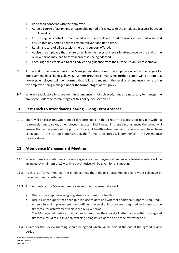- Raise their concerns with the employee,
- Agree a course of action and a reasonable period of review with the employee (suggest between 4 to 8 weeks),
- Ensure regular contact is maintained with the employee to address any issues that arise and ensure that any agreed actions remain relevant and up to date,
- Retain a record of all discussions held and support offered,
- Advise the employee that failure to achieve the necessary levels in attendance by the end of the review period may lead to formal processes being adopted,
- Encourage the employee to seek advice and guidance from their Trade Union Representative.
- 9.3 At the end of the review period the Manager will discuss with the employee whether the targets for improvement have been achieved. Where progress is made, no further action will be required, however, employees will be informed that failure to maintain the level of attendance may result in the employee being managed under the formal stages of this policy.
- 9.4 Where a satisfactory improvement in attendance is not achieved, it may be necessary to manage the employee under the formal stages of this policy, see section 12

# **10. Fast Track to Attendance Hearing – Long Term Absence**

10.1 There will be occasions where medical reports indicate that a return to work is not possible within a reasonable timescale or, an employee has a terminal illness. In these circumstances the school will ensure that all avenues of support, including ill health retirement and redeployment have been exhausted. If this can be demonstrated, the formal procedures will commence at the Attendance Hearing stage.

### **11. Attendance Management Meeting**

- 11.1 Where there are continuing concerns regarding an employee's attendance, a formal meeting will be arranged. A minimum of 10 working days' notice will be given for this meeting.
- 11.2 As this is a formal meeting, the employee has the right to be accompanied by a work colleague or trade union representative.
- 11.3 At this meeting, the Manager, employee and their representative will:
	- a. Discuss the employees on going absence and reasons for this,
	- b. Discuss what support has been put in place to date and whether additional support is required,
	- c. Agree a formal improvement plan outlining the level of improvement required and a reasonable timescale for achievement (this is the review period),
	- d. The Manager will advise that failure to improve their level of attendance within the agreed timescale could result in a final warning being issued at the end of the review period.
- 11.4 A date for the Review Meeting should be agreed which will be held at the end of the agreed review period.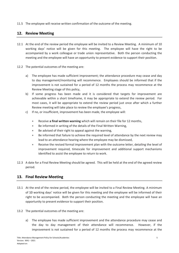11.5 The employee will receive written confirmation of the outcome of the meeting.

# **12. Review Meeting**

- 12.1 At the end of the review period the employee will be invited to a Review Meeting. A minimum of 10 working days' notice will be given for this meeting. The employee will have the right to be accompanied by a work colleague or trade union representative. Both the person conducting the meeting and the employee will have an opportunity to present evidence to support their position.
- 12.2 The potential outcomes of the meeting are:
	- a) The employee has made sufficient improvement; the attendance procedure may cease and day to day management/monitoring will recommence. Employees should be informed that if the improvement is not sustained for a period of 12 months the process may recommence at the Review Meeting stage of this policy,
	- b) If some progress has been made and it is considered that targets for improvement are achievable within a short timeframe, it may be appropriate to extend the review period. For most cases, it will be appropriate to extend the review period just once after which a further Review meeting will take place to review the employee's progress,
	- c) If no, or insufficient, improvement has been made, the employee will:
		- Receive **a final written warning** which will remain on their file for 12 months,
		- Be informed in writing of the details of the Final Written Warning,
		- Be advised of their right to appeal against the warning,
		- Be informed that failure to achieve the required level of attendance by the next review may lead to an attendance hearing where the employee may be dismissed,
		- Receive the revised formal improvement plan with the outcome letter, detailing the level of improvement required, timescale for improvement and additional support mechanisms identified to assist the employee to return to work.
- 12.3 A date for a Final Review Meeting should be agreed. This will be held at the end of the agreed review period.

### **13. Final Review Meeting**

- 13.1 At the end of the review period, the employee will be invited to a Final Review Meeting. A minimum of 10 working days' notice will be given for this meeting and the employee will be informed of their right to be accompanied. Both the person conducting the meeting and the employee will have an opportunity to present evidence to support their position.
- 13.2 The potential outcomes of the meeting are:
	- a) The employee has made sufficient improvement and the attendance procedure may cease and the day to day management of their attendance will recommence. However, if the improvement is not sustained for a period of 12 months the process may recommence at the